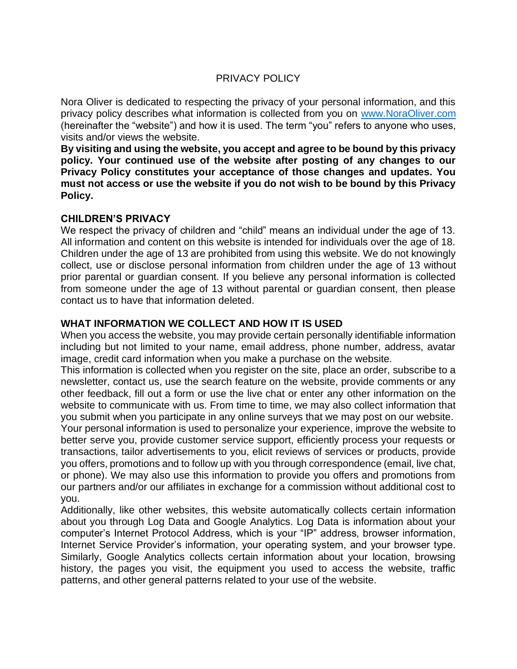### PRIVACY POLICY

Nora Oliver is dedicated to respecting the privacy of your personal information, and this privacy policy describes what information is collected from you on [www.NoraOliver.com](http://www.noraoliver.com/) (hereinafter the "website") and how it is used. The term "you" refers to anyone who uses, visits and/or views the website.

**By visiting and using the website, you accept and agree to be bound by this privacy policy. Your continued use of the website after posting of any changes to our Privacy Policy constitutes your acceptance of those changes and updates. You must not access or use the website if you do not wish to be bound by this Privacy Policy.**

#### **CHILDREN'S PRIVACY**

We respect the privacy of children and "child" means an individual under the age of 13. All information and content on this website is intended for individuals over the age of 18. Children under the age of 13 are prohibited from using this website. We do not knowingly collect, use or disclose personal information from children under the age of 13 without prior parental or guardian consent. If you believe any personal information is collected from someone under the age of 13 without parental or guardian consent, then please contact us to have that information deleted.

#### **WHAT INFORMATION WE COLLECT AND HOW IT IS USED**

When you access the website, you may provide certain personally identifiable information including but not limited to your name, email address, phone number, address, avatar image, credit card information when you make a purchase on the website.

This information is collected when you register on the site, place an order, subscribe to a newsletter, contact us, use the search feature on the website, provide comments or any other feedback, fill out a form or use the live chat or enter any other information on the website to communicate with us. From time to time, we may also collect information that you submit when you participate in any online surveys that we may post on our website.

Your personal information is used to personalize your experience, improve the website to better serve you, provide customer service support, efficiently process your requests or transactions, tailor advertisements to you, elicit reviews of services or products, provide you offers, promotions and to follow up with you through correspondence (email, live chat, or phone). We may also use this information to provide you offers and promotions from our partners and/or our affiliates in exchange for a commission without additional cost to you.

Additionally, like other websites, this website automatically collects certain information about you through Log Data and Google Analytics. Log Data is information about your computer's Internet Protocol Address, which is your "IP" address, browser information, Internet Service Provider's information, your operating system, and your browser type. Similarly, Google Analytics collects certain information about your location, browsing history, the pages you visit, the equipment you used to access the website, traffic patterns, and other general patterns related to your use of the website.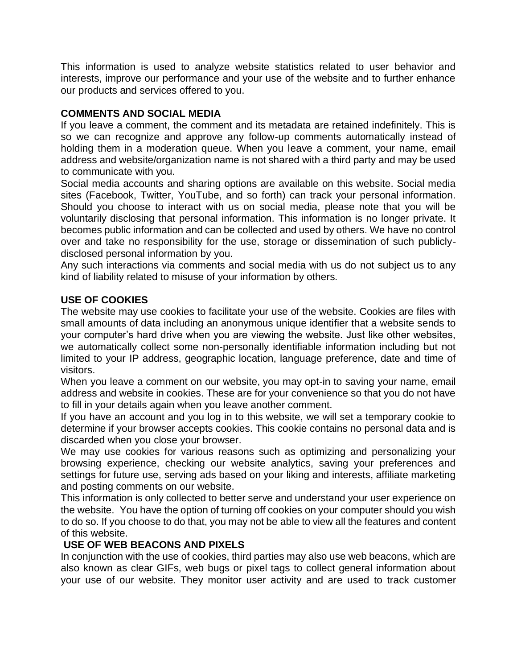This information is used to analyze website statistics related to user behavior and interests, improve our performance and your use of the website and to further enhance our products and services offered to you.

# **COMMENTS AND SOCIAL MEDIA**

If you leave a comment, the comment and its metadata are retained indefinitely. This is so we can recognize and approve any follow-up comments automatically instead of holding them in a moderation queue. When you leave a comment, your name, email address and website/organization name is not shared with a third party and may be used to communicate with you.

Social media accounts and sharing options are available on this website. Social media sites (Facebook, Twitter, YouTube, and so forth) can track your personal information. Should you choose to interact with us on social media, please note that you will be voluntarily disclosing that personal information. This information is no longer private. It becomes public information and can be collected and used by others. We have no control over and take no responsibility for the use, storage or dissemination of such publiclydisclosed personal information by you.

Any such interactions via comments and social media with us do not subject us to any kind of liability related to misuse of your information by others.

# **USE OF COOKIES**

The website may use cookies to facilitate your use of the website. Cookies are files with small amounts of data including an anonymous unique identifier that a website sends to your computer's hard drive when you are viewing the website. Just like other websites, we automatically collect some non-personally identifiable information including but not limited to your IP address, geographic location, language preference, date and time of visitors.

When you leave a comment on our website, you may opt-in to saving your name, email address and website in cookies. These are for your convenience so that you do not have to fill in your details again when you leave another comment.

If you have an account and you log in to this website, we will set a temporary cookie to determine if your browser accepts cookies. This cookie contains no personal data and is discarded when you close your browser.

We may use cookies for various reasons such as optimizing and personalizing your browsing experience, checking our website analytics, saving your preferences and settings for future use, serving ads based on your liking and interests, affiliate marketing and posting comments on our website.

This information is only collected to better serve and understand your user experience on the website. You have the option of turning off cookies on your computer should you wish to do so. If you choose to do that, you may not be able to view all the features and content of this website.

# **USE OF WEB BEACONS AND PIXELS**

In conjunction with the use of cookies, third parties may also use web beacons, which are also known as clear GIFs, web bugs or pixel tags to collect general information about your use of our website. They monitor user activity and are used to track customer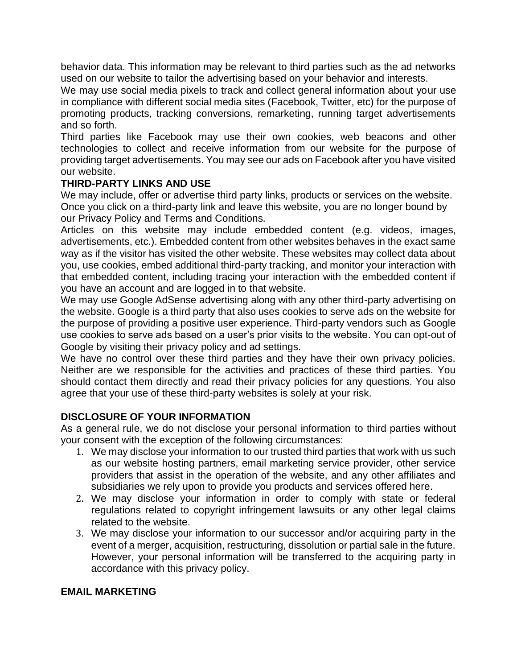behavior data. This information may be relevant to third parties such as the ad networks used on our website to tailor the advertising based on your behavior and interests.

We may use social media pixels to track and collect general information about your use in compliance with different social media sites (Facebook, Twitter, etc) for the purpose of promoting products, tracking conversions, remarketing, running target advertisements and so forth.

Third parties like Facebook may use their own cookies, web beacons and other technologies to collect and receive information from our website for the purpose of providing target advertisements. You may see our ads on Facebook after you have visited our website.

### **THIRD-PARTY LINKS AND USE**

We may include, offer or advertise third party links, products or services on the website. Once you click on a third-party link and leave this website, you are no longer bound by our Privacy Policy and Terms and Conditions.

Articles on this website may include embedded content (e.g. videos, images, advertisements, etc.). Embedded content from other websites behaves in the exact same way as if the visitor has visited the other website. These websites may collect data about you, use cookies, embed additional third-party tracking, and monitor your interaction with that embedded content, including tracing your interaction with the embedded content if you have an account and are logged in to that website.

We may use Google AdSense advertising along with any other third-party advertising on the website. Google is a third party that also uses cookies to serve ads on the website for the purpose of providing a positive user experience. Third-party vendors such as Google use cookies to serve ads based on a user's prior visits to the website. You can opt-out of Google by visiting their privacy policy and ad settings.

We have no control over these third parties and they have their own privacy policies. Neither are we responsible for the activities and practices of these third parties. You should contact them directly and read their privacy policies for any questions. You also agree that your use of these third-party websites is solely at your risk.

# **DISCLOSURE OF YOUR INFORMATION**

As a general rule, we do not disclose your personal information to third parties without your consent with the exception of the following circumstances:

- 1. We may disclose your information to our trusted third parties that work with us such as our website hosting partners, email marketing service provider, other service providers that assist in the operation of the website, and any other affiliates and subsidiaries we rely upon to provide you products and services offered here.
- 2. We may disclose your information in order to comply with state or federal regulations related to copyright infringement lawsuits or any other legal claims related to the website.
- 3. We may disclose your information to our successor and/or acquiring party in the event of a merger, acquisition, restructuring, dissolution or partial sale in the future. However, your personal information will be transferred to the acquiring party in accordance with this privacy policy.

#### **EMAIL MARKETING**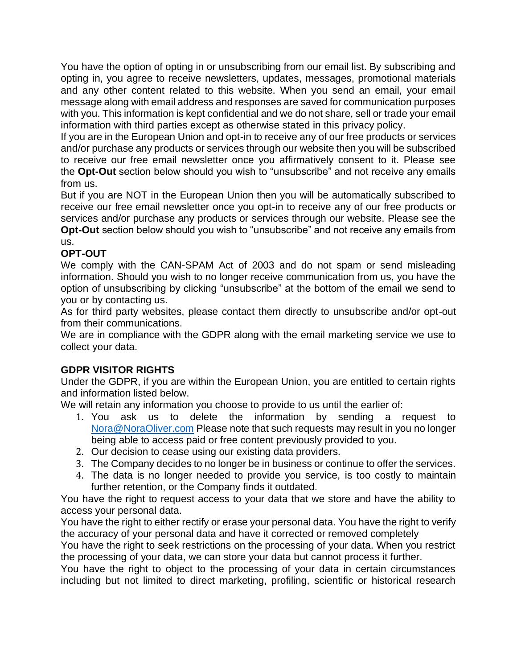You have the option of opting in or unsubscribing from our email list. By subscribing and opting in, you agree to receive newsletters, updates, messages, promotional materials and any other content related to this website. When you send an email, your email message along with email address and responses are saved for communication purposes with you. This information is kept confidential and we do not share, sell or trade your email information with third parties except as otherwise stated in this privacy policy.

If you are in the European Union and opt-in to receive any of our free products or services and/or purchase any products or services through our website then you will be subscribed to receive our free email newsletter once you affirmatively consent to it. Please see the **Opt-Out** section below should you wish to "unsubscribe" and not receive any emails from us.

But if you are NOT in the European Union then you will be automatically subscribed to receive our free email newsletter once you opt-in to receive any of our free products or services and/or purchase any products or services through our website. Please see the **Opt-Out** section below should you wish to "unsubscribe" and not receive any emails from

us.

# **OPT-OUT**

We comply with the CAN-SPAM Act of 2003 and do not spam or send misleading information. Should you wish to no longer receive communication from us, you have the option of unsubscribing by clicking "unsubscribe" at the bottom of the email we send to you or by contacting us.

As for third party websites, please contact them directly to unsubscribe and/or opt-out from their communications.

We are in compliance with the GDPR along with the email marketing service we use to collect your data.

# **GDPR VISITOR RIGHTS**

Under the GDPR, if you are within the European Union, you are entitled to certain rights and information listed below.

We will retain any information you choose to provide to us until the earlier of:

- 1. You ask us to delete the information by sending a request to [Nora@NoraOliver.com](mailto:Nora@NoraOliver.com) Please note that such requests may result in you no longer being able to access paid or free content previously provided to you.
- 2. Our decision to cease using our existing data providers.
- 3. The Company decides to no longer be in business or continue to offer the services.
- 4. The data is no longer needed to provide you service, is too costly to maintain further retention, or the Company finds it outdated.

You have the right to request access to your data that we store and have the ability to access your personal data.

You have the right to either rectify or erase your personal data. You have the right to verify the accuracy of your personal data and have it corrected or removed completely

You have the right to seek restrictions on the processing of your data. When you restrict the processing of your data, we can store your data but cannot process it further.

You have the right to object to the processing of your data in certain circumstances including but not limited to direct marketing, profiling, scientific or historical research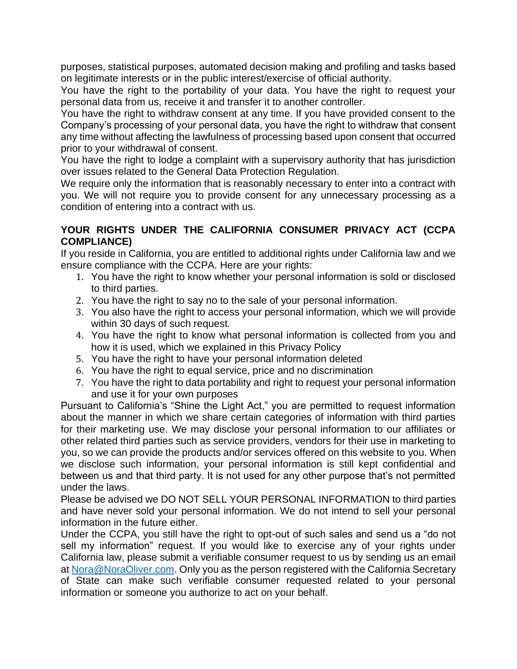purposes, statistical purposes, automated decision making and profiling and tasks based on legitimate interests or in the public interest/exercise of official authority.

You have the right to the portability of your data. You have the right to request your personal data from us, receive it and transfer it to another controller.

You have the right to withdraw consent at any time. If you have provided consent to the Company's processing of your personal data, you have the right to withdraw that consent any time without affecting the lawfulness of processing based upon consent that occurred prior to your withdrawal of consent.

You have the right to lodge a complaint with a supervisory authority that has jurisdiction over issues related to the General Data Protection Regulation.

We require only the information that is reasonably necessary to enter into a contract with you. We will not require you to provide consent for any unnecessary processing as a condition of entering into a contract with us.

#### **YOUR RIGHTS UNDER THE CALIFORNIA CONSUMER PRIVACY ACT (CCPA COMPLIANCE)**

If you reside in California, you are entitled to additional rights under California law and we ensure compliance with the CCPA. Here are your rights:

- 1. You have the right to know whether your personal information is sold or disclosed to third parties.
- 2. You have the right to say no to the sale of your personal information.
- 3. You also have the right to access your personal information, which we will provide within 30 days of such request.
- 4. You have the right to know what personal information is collected from you and how it is used, which we explained in this Privacy Policy
- 5. You have the right to have your personal information deleted
- 6. You have the right to equal service, price and no discrimination
- 7. You have the right to data portability and right to request your personal information and use it for your own purposes

Pursuant to California's "Shine the Light Act," you are permitted to request information about the manner in which we share certain categories of information with third parties for their marketing use. We may disclose your personal information to our affiliates or other related third parties such as service providers, vendors for their use in marketing to you, so we can provide the products and/or services offered on this website to you. When we disclose such information, your personal information is still kept confidential and between us and that third party. It is not used for any other purpose that's not permitted under the laws.

Please be advised we DO NOT SELL YOUR PERSONAL INFORMATION to third parties and have never sold your personal information. We do not intend to sell your personal information in the future either.

Under the CCPA, you still have the right to opt-out of such sales and send us a "do not sell my information" request. If you would like to exercise any of your rights under California law, please submit a verifiable consumer request to us by sending us an email a[t Nora@NoraOliver.com.](mailto:Nora@NoraOliver.com) Only you as the person registered with the California Secretary of State can make such verifiable consumer requested related to your personal information or someone you authorize to act on your behalf.